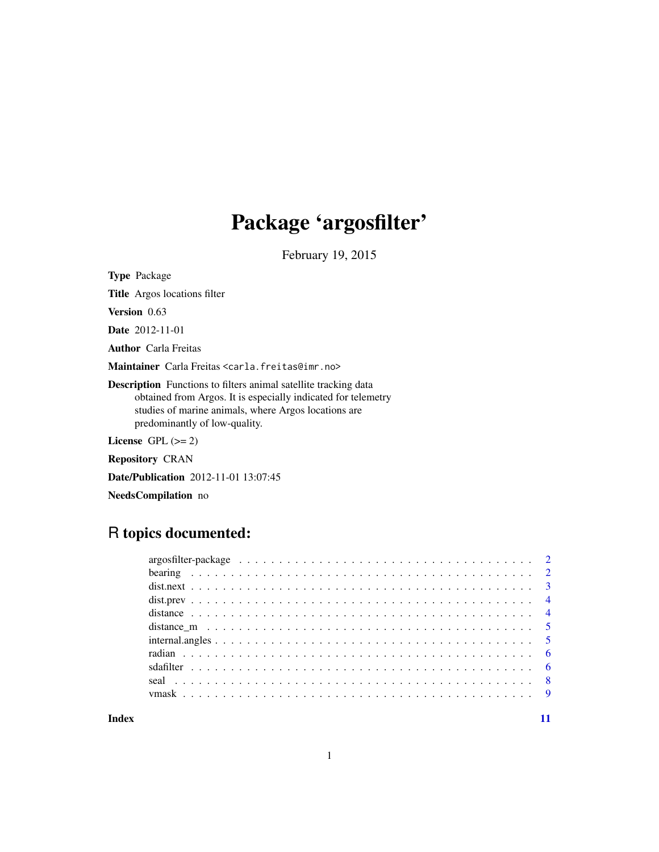# Package 'argosfilter'

February 19, 2015

Type Package

Title Argos locations filter

Version 0.63

Date 2012-11-01

Author Carla Freitas

Maintainer Carla Freitas <carla.freitas@imr.no>

Description Functions to filters animal satellite tracking data obtained from Argos. It is especially indicated for telemetry studies of marine animals, where Argos locations are predominantly of low-quality.

License  $GPL (= 2)$ 

Repository CRAN

Date/Publication 2012-11-01 13:07:45

NeedsCompilation no

# R topics documented:

#### **Index** [11](#page-10-0)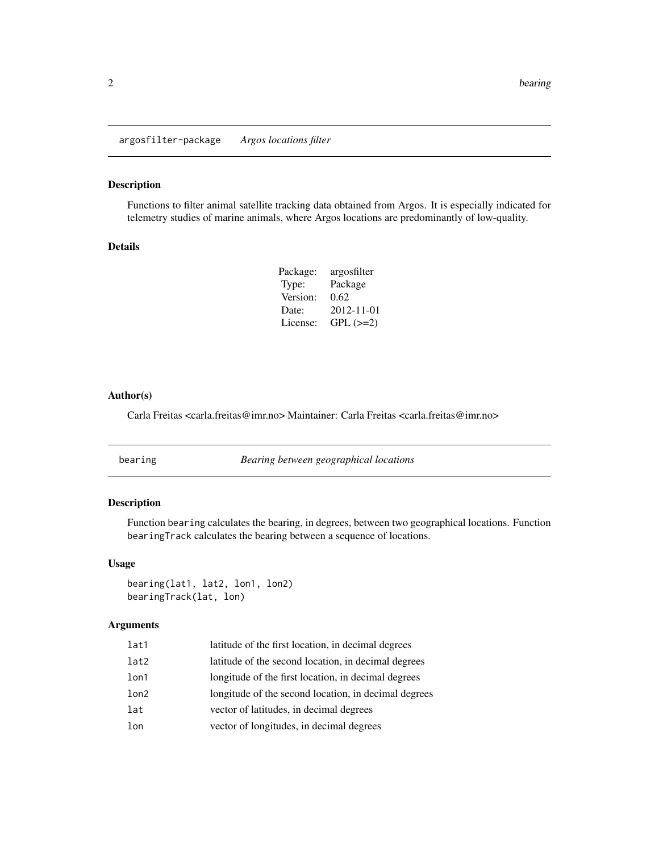<span id="page-1-0"></span>argosfilter-package *Argos locations filter*

# Description

Functions to filter animal satellite tracking data obtained from Argos. It is especially indicated for telemetry studies of marine animals, where Argos locations are predominantly of low-quality.

# Details

| Package: | argosfilter   |
|----------|---------------|
| Type:    | Package       |
| Version: | 0.62          |
| Date:    | 2012-11-01    |
| License: | $GPL$ $(>=2)$ |

## Author(s)

Carla Freitas <carla.freitas@imr.no> Maintainer: Carla Freitas <carla.freitas@imr.no>

<span id="page-1-1"></span>bearing *Bearing between geographical locations*

# **Description**

Function bearing calculates the bearing, in degrees, between two geographical locations. Function bearingTrack calculates the bearing between a sequence of locations.

# Usage

```
bearing(lat1, lat2, lon1, lon2)
bearingTrack(lat, lon)
```
# Arguments

| lat1 | latitude of the first location, in decimal degrees   |
|------|------------------------------------------------------|
| lat2 | latitude of the second location, in decimal degrees  |
| lon1 | longitude of the first location, in decimal degrees  |
| lon2 | longitude of the second location, in decimal degrees |
| lat  | vector of latitudes, in decimal degrees              |
| lon  | vector of longitudes, in decimal degrees             |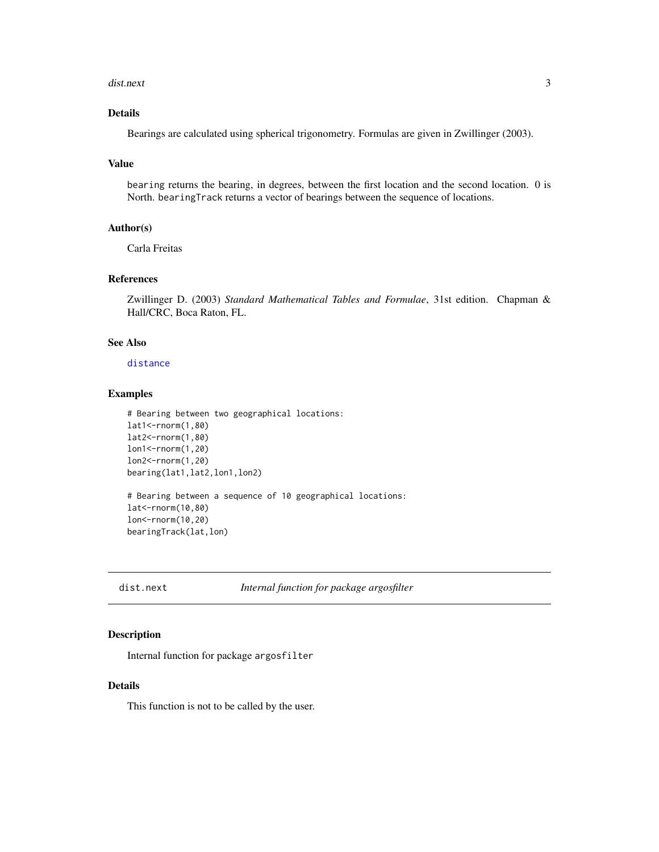#### <span id="page-2-0"></span>dist.next 3

# Details

Bearings are calculated using spherical trigonometry. Formulas are given in Zwillinger (2003).

#### Value

bearing returns the bearing, in degrees, between the first location and the second location. 0 is North. bearingTrack returns a vector of bearings between the sequence of locations.

#### Author(s)

Carla Freitas

# References

Zwillinger D. (2003) *Standard Mathematical Tables and Formulae*, 31st edition. Chapman & Hall/CRC, Boca Raton, FL.

# See Also

[distance](#page-3-1)

# Examples

```
# Bearing between two geographical locations:
lat1<-rnorm(1,80)
lat2<-rnorm(1,80)
lon1<-rnorm(1,20)
lon2<-rnorm(1,20)
bearing(lat1,lat2,lon1,lon2)
# Bearing between a sequence of 10 geographical locations:
lat<-rnorm(10,80)
lon<-rnorm(10,20)
bearingTrack(lat,lon)
```
dist.next *Internal function for package argosfilter*

#### Description

Internal function for package argosfilter

#### Details

This function is not to be called by the user.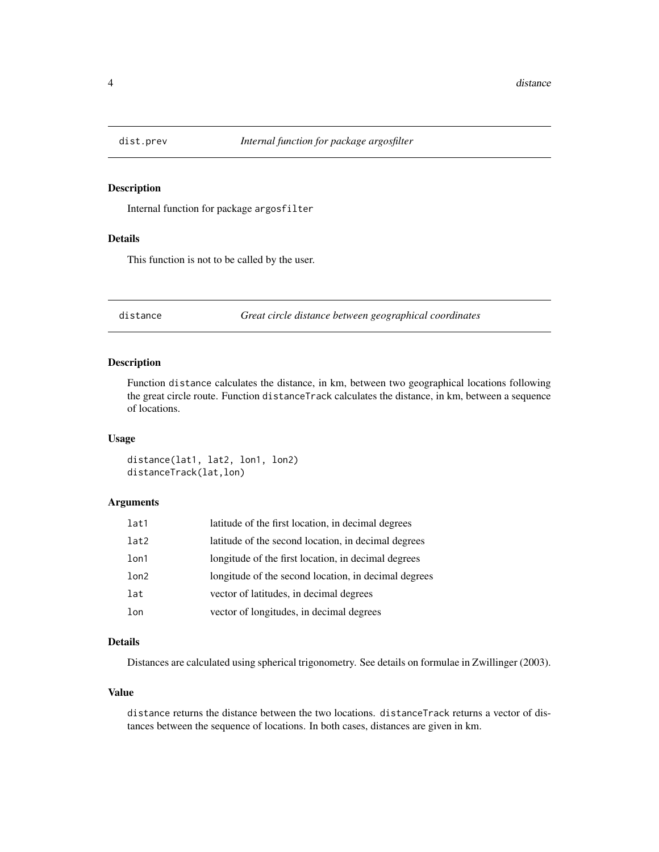<span id="page-3-0"></span>

# Description

Internal function for package argosfilter

#### Details

This function is not to be called by the user.

<span id="page-3-1"></span>distance *Great circle distance between geographical coordinates*

#### Description

Function distance calculates the distance, in km, between two geographical locations following the great circle route. Function distanceTrack calculates the distance, in km, between a sequence of locations.

# Usage

distance(lat1, lat2, lon1, lon2) distanceTrack(lat,lon)

# Arguments

| lat1 | latitude of the first location, in decimal degrees   |
|------|------------------------------------------------------|
| lat2 | latitude of the second location, in decimal degrees  |
| lon1 | longitude of the first location, in decimal degrees  |
| lon2 | longitude of the second location, in decimal degrees |
| lat  | vector of latitudes, in decimal degrees              |
| lon  | vector of longitudes, in decimal degrees             |

#### Details

Distances are calculated using spherical trigonometry. See details on formulae in Zwillinger (2003).

#### Value

distance returns the distance between the two locations. distanceTrack returns a vector of distances between the sequence of locations. In both cases, distances are given in km.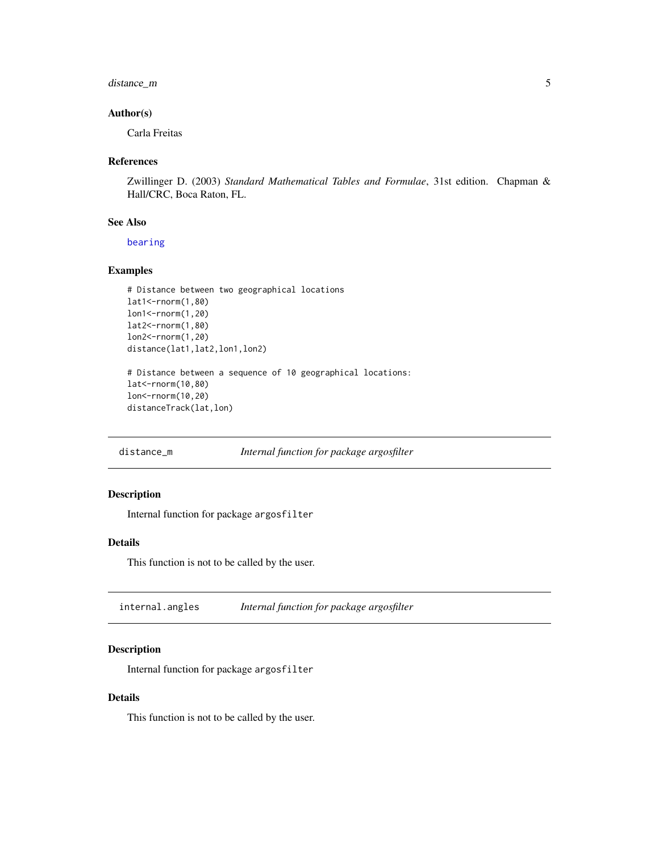# <span id="page-4-0"></span>distance\_m 5

# Author(s)

Carla Freitas

# References

Zwillinger D. (2003) *Standard Mathematical Tables and Formulae*, 31st edition. Chapman & Hall/CRC, Boca Raton, FL.

# See Also

[bearing](#page-1-1)

# Examples

```
# Distance between two geographical locations
lat1<-rnorm(1,80)
lon1<-rnorm(1,20)
lat2<-rnorm(1,80)
lon2<-rnorm(1,20)
distance(lat1,lat2,lon1,lon2)
# Distance between a sequence of 10 geographical locations:
lat<-rnorm(10,80)
```

```
lon<-rnorm(10,20)
distanceTrack(lat,lon)
```
distance\_m *Internal function for package argosfilter*

# Description

Internal function for package argosfilter

#### Details

This function is not to be called by the user.

internal.angles *Internal function for package argosfilter*

#### Description

Internal function for package argosfilter

# Details

This function is not to be called by the user.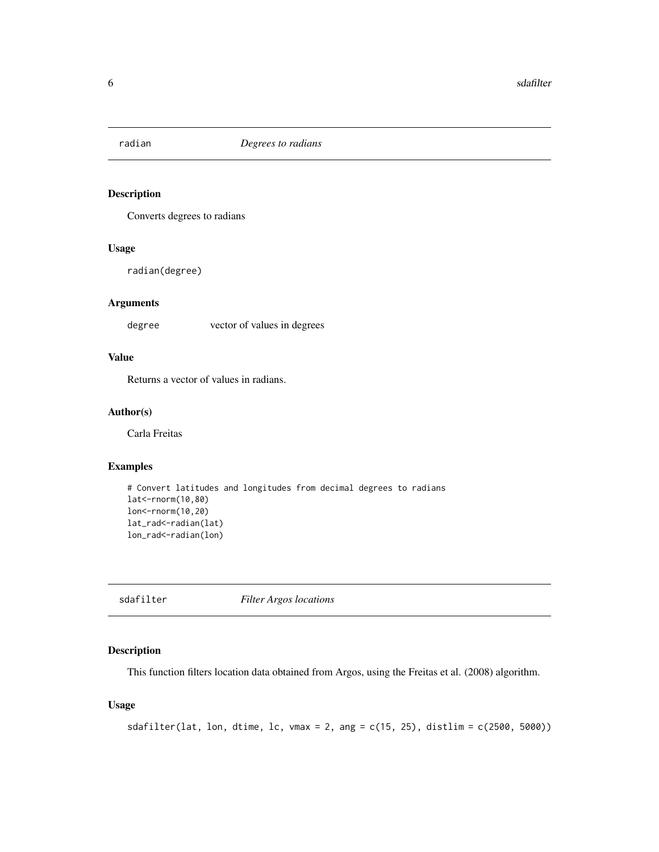<span id="page-5-0"></span>

# Description

Converts degrees to radians

# Usage

radian(degree)

# Arguments

degree vector of values in degrees

# Value

Returns a vector of values in radians.

# Author(s)

Carla Freitas

# Examples

```
# Convert latitudes and longitudes from decimal degrees to radians
lat<-rnorm(10,80)
lon<-rnorm(10,20)
lat_rad<-radian(lat)
lon_rad<-radian(lon)
```
<span id="page-5-1"></span>sdafilter *Filter Argos locations*

# Description

This function filters location data obtained from Argos, using the Freitas et al. (2008) algorithm.

# Usage

```
sdafilter(lat, lon, dtime, lc, vmax = 2, ang = c(15, 25), distlim = c(2500, 5000))
```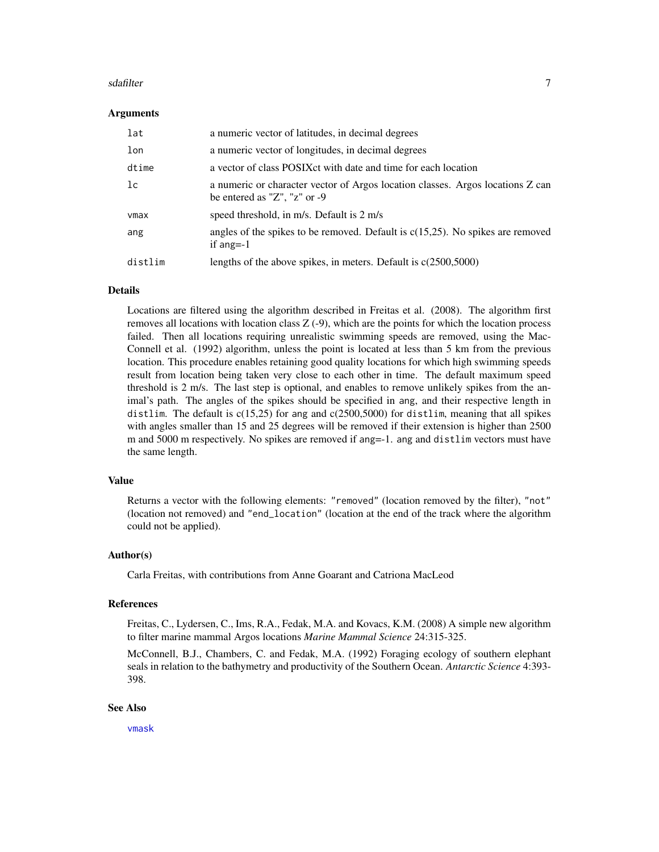#### <span id="page-6-0"></span>sdafilter **7**

#### Arguments

| lat     | a numeric vector of latitudes, in decimal degrees                                                                      |
|---------|------------------------------------------------------------------------------------------------------------------------|
| lon     | a numeric vector of longitudes, in decimal degrees                                                                     |
| dtime   | a vector of class POSIX ct with date and time for each location                                                        |
| lc      | a numeric or character vector of Argos location classes. Argos locations Z can<br>be entered as " $Z$ ", " $z$ " or -9 |
| vmax    | speed threshold, in m/s. Default is 2 m/s                                                                              |
| ang     | angles of the spikes to be removed. Default is $c(15,25)$ . No spikes are removed<br>if ang= $-1$                      |
| distlim | lengths of the above spikes, in meters. Default is $c(2500,5000)$                                                      |

# Details

Locations are filtered using the algorithm described in Freitas et al. (2008). The algorithm first removes all locations with location class Z (-9), which are the points for which the location process failed. Then all locations requiring unrealistic swimming speeds are removed, using the Mac-Connell et al. (1992) algorithm, unless the point is located at less than 5 km from the previous location. This procedure enables retaining good quality locations for which high swimming speeds result from location being taken very close to each other in time. The default maximum speed threshold is 2 m/s. The last step is optional, and enables to remove unlikely spikes from the animal's path. The angles of the spikes should be specified in ang, and their respective length in distlim. The default is  $c(15,25)$  for ang and  $c(2500,5000)$  for distlim, meaning that all spikes with angles smaller than 15 and 25 degrees will be removed if their extension is higher than 2500 m and 5000 m respectively. No spikes are removed if ang=-1. ang and distlim vectors must have the same length.

#### Value

Returns a vector with the following elements: "removed" (location removed by the filter), "not" (location not removed) and "end\_location" (location at the end of the track where the algorithm could not be applied).

#### Author(s)

Carla Freitas, with contributions from Anne Goarant and Catriona MacLeod

#### References

Freitas, C., Lydersen, C., Ims, R.A., Fedak, M.A. and Kovacs, K.M. (2008) A simple new algorithm to filter marine mammal Argos locations *Marine Mammal Science* 24:315-325.

McConnell, B.J., Chambers, C. and Fedak, M.A. (1992) Foraging ecology of southern elephant seals in relation to the bathymetry and productivity of the Southern Ocean. *Antarctic Science* 4:393- 398.

#### See Also

[vmask](#page-8-1)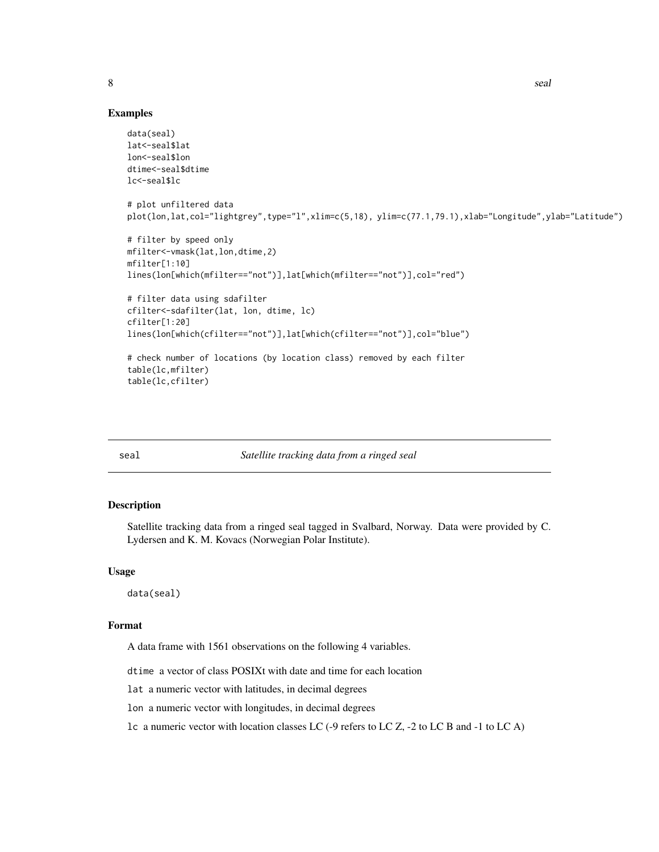8 seal and the seal of the seal of the seal of the seal of the seal of the seal of the seal of the seal of the seal of the seal of the seal of the seal of the seal of the seal of the seal of the seal of the seal of the sea

# Examples

```
data(seal)
lat<-seal$lat
lon<-seal$lon
dtime<-seal$dtime
lc<-seal$lc
# plot unfiltered data
plot(lon,lat,col="lightgrey",type="l",xlim=c(5,18), ylim=c(77.1,79.1),xlab="Longitude",ylab="Latitude")
# filter by speed only
mfilter<-vmask(lat,lon,dtime,2)
mfilter[1:10]
lines(lon[which(mfilter=="not")],lat[which(mfilter=="not")],col="red")
# filter data using sdafilter
cfilter<-sdafilter(lat, lon, dtime, lc)
cfilter[1:20]
lines(lon[which(cfilter=="not")],lat[which(cfilter=="not")],col="blue")
# check number of locations (by location class) removed by each filter
table(lc,mfilter)
table(lc,cfilter)
```
seal *Satellite tracking data from a ringed seal*

# Description

Satellite tracking data from a ringed seal tagged in Svalbard, Norway. Data were provided by C. Lydersen and K. M. Kovacs (Norwegian Polar Institute).

#### Usage

data(seal)

#### Format

A data frame with 1561 observations on the following 4 variables.

dtime a vector of class POSIXt with date and time for each location

lat a numeric vector with latitudes, in decimal degrees

lon a numeric vector with longitudes, in decimal degrees

lc a numeric vector with location classes LC (-9 refers to LC Z, -2 to LC B and -1 to LC A)

<span id="page-7-0"></span>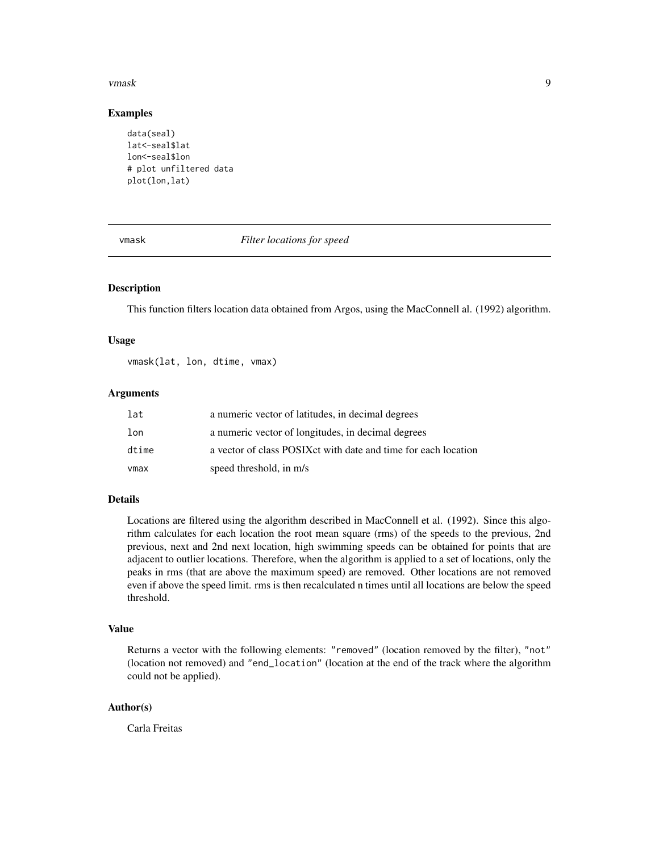#### <span id="page-8-0"></span>vmask and the set of the set of the set of the set of the set of the set of the set of the set of the set of the set of the set of the set of the set of the set of the set of the set of the set of the set of the set of the

#### Examples

```
data(seal)
lat<-seal$lat
lon<-seal$lon
# plot unfiltered data
plot(lon,lat)
```
#### <span id="page-8-1"></span>vmask *Filter locations for speed*

## Description

This function filters location data obtained from Argos, using the MacConnell al. (1992) algorithm.

#### Usage

vmask(lat, lon, dtime, vmax)

#### **Arguments**

| lat   | a numeric vector of latitudes, in decimal degrees               |
|-------|-----------------------------------------------------------------|
| lon   | a numeric vector of longitudes, in decimal degrees              |
| dtime | a vector of class POSIX ct with date and time for each location |
| vmax  | speed threshold, in m/s                                         |

#### Details

Locations are filtered using the algorithm described in MacConnell et al. (1992). Since this algorithm calculates for each location the root mean square (rms) of the speeds to the previous, 2nd previous, next and 2nd next location, high swimming speeds can be obtained for points that are adjacent to outlier locations. Therefore, when the algorithm is applied to a set of locations, only the peaks in rms (that are above the maximum speed) are removed. Other locations are not removed even if above the speed limit. rms is then recalculated n times until all locations are below the speed threshold.

#### Value

Returns a vector with the following elements: "removed" (location removed by the filter), "not" (location not removed) and "end\_location" (location at the end of the track where the algorithm could not be applied).

# Author(s)

Carla Freitas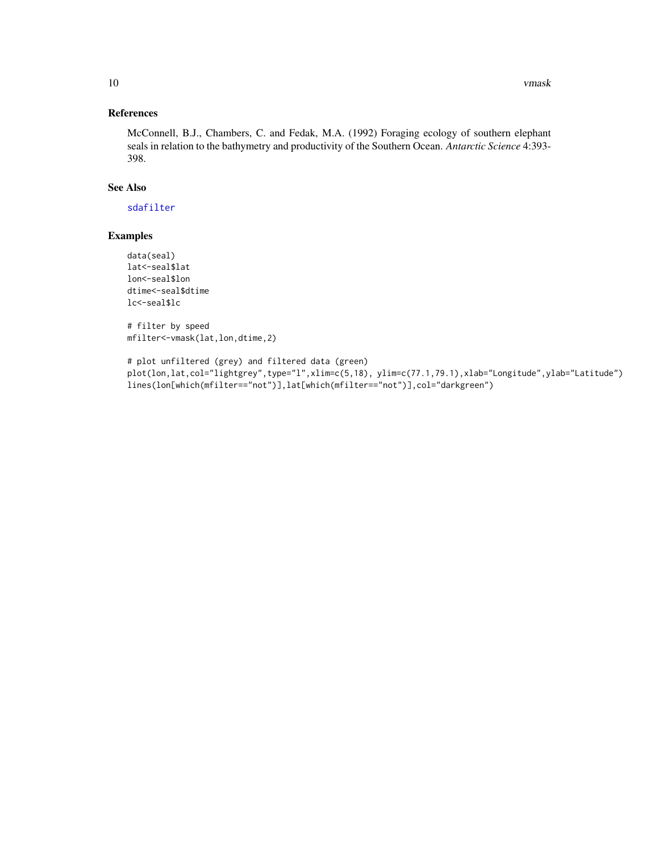# <span id="page-9-0"></span>References

McConnell, B.J., Chambers, C. and Fedak, M.A. (1992) Foraging ecology of southern elephant seals in relation to the bathymetry and productivity of the Southern Ocean. *Antarctic Science* 4:393- 398.

#### See Also

[sdafilter](#page-5-1)

# Examples

data(seal) lat<-seal\$lat lon<-seal\$lon dtime<-seal\$dtime lc<-seal\$lc

# filter by speed mfilter<-vmask(lat,lon,dtime,2)

# plot unfiltered (grey) and filtered data (green) plot(lon,lat,col="lightgrey",type="l",xlim=c(5,18), ylim=c(77.1,79.1),xlab="Longitude",ylab="Latitude") lines(lon[which(mfilter=="not")],lat[which(mfilter=="not")],col="darkgreen")